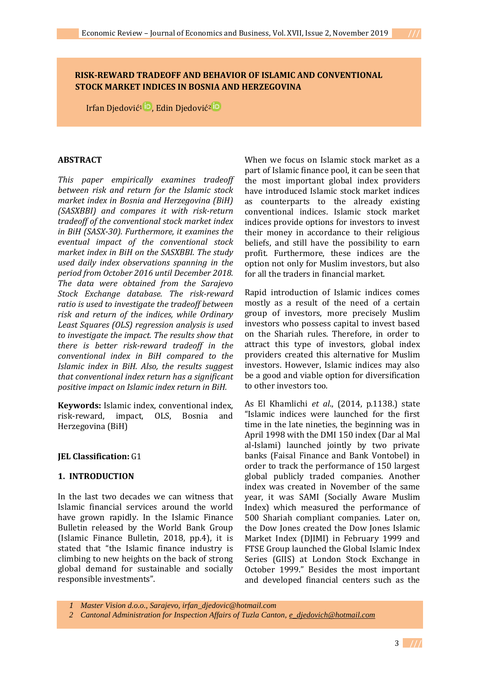# **RISK-REWARD TRADEOFF AND BEHAVIOR OF ISLAMIC AND CONVENTIONAL STOCK MARKET INDICES IN BOSNIA AND HERZEGOVINA**

Irfan Djedović<sup>1</sup><sup>ib</sup>[,](https://orcid.org/0000-0002-6619-7833) Edin Djedović<sup>[2](https://orcid.org/0000-0003-3558-837X)</sup><sup>ib</sup>

## **ABSTRACT**

*This paper empirically examines tradeoff between risk and return for the Islamic stock market index in Bosnia and Herzegovina (BiH) (SASXBBI) and compares it with risk-return tradeoff of the conventional stock market index in BiH (SASX-30). Furthermore, it examines the eventual impact of the conventional stock market index in BiH on the SASXBBI. The study used daily index observations spanning in the period from October 2016 until December 2018. The data were obtained from the Sarajevo Stock Exchange database. The risk-reward ratio is used to investigate the tradeoff between risk and return of the indices, while Ordinary Least Squares (OLS) regression analysis is used to investigate the impact. The results show that there is better risk-reward tradeoff in the conventional index in BiH compared to the Islamic index in BiH. Also, the results suggest that conventional index return has a significant positive impact on Islamic index return in BiH.*

**Keywords:** Islamic index, conventional index, risk-reward, impact, OLS, Bosnia and Herzegovina (BiH)

## **JEL Classification:** G1

## **1. INTRODUCTION**

In the last two decades we can witness that Islamic financial services around the world have grown rapidly. In the Islamic Finance Bulletin released by the World Bank Group (Islamic Finance Bulletin, 2018, pp.4), it is stated that "the Islamic finance industry is climbing to new heights on the back of strong global demand for sustainable and socially responsible investments".

When we focus on Islamic stock market as a part of Islamic finance pool, it can be seen that the most important global index providers have introduced Islamic stock market indices as counterparts to the already existing conventional indices. Islamic stock market indices provide options for investors to invest their money in accordance to their religious beliefs, and still have the possibility to earn profit. Furthermore, these indices are the option not only for Muslim investors, but also for all the traders in financial market.

Rapid introduction of Islamic indices comes mostly as a result of the need of a certain group of investors, more precisely Muslim investors who possess capital to invest based on the Shariah rules. Therefore, in order to attract this type of investors, global index providers created this alternative for Muslim investors. However, Islamic indices may also be a good and viable option for diversification to other investors too.

As El Khamlichi *et al*., (2014, p.1138.) state "Islamic indices were launched for the first time in the late nineties, the beginning was in April 1998 with the DMI 150 index (Dar al Mal al-Islami) launched jointly by two private banks (Faisal Finance and Bank Vontobel) in order to track the performance of 150 largest global publicly traded companies. Another index was created in November of the same year, it was SAMI (Socially Aware Muslim Index) which measured the performance of 500 Shariah compliant companies. Later on, the Dow Jones created the Dow Jones Islamic Market Index (DJIMI) in February 1999 and FTSE Group launched the Global Islamic Index Series (GIIS) at London Stock Exchange in October 1999." Besides the most important and developed financial centers such as the

*1 Master Vision d.o.o., Sarajevo, irfan\_djedovic@hotmail.com*

*2 Cantonal Administration for Inspection Affairs of Tuzla Canton, [e\\_djedovich@hotmail.com](mailto:e_djedovich@hotmail.com)*

3 **///**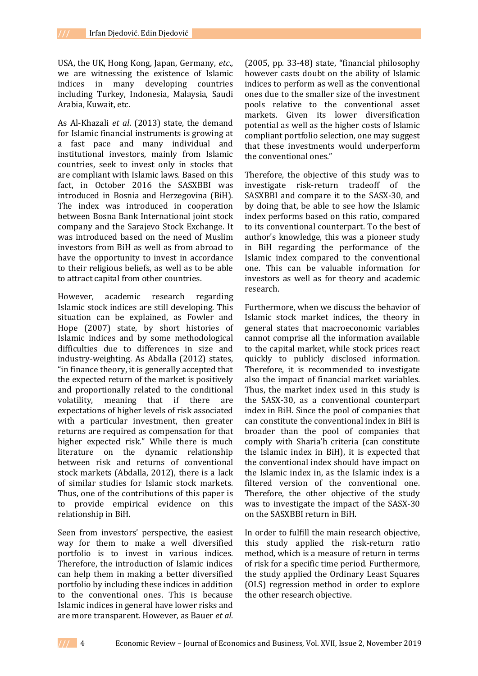USA, the UK, Hong Kong, Japan, Germany, *etc*., we are witnessing the existence of Islamic indices in many developing countries including Turkey, Indonesia, Malaysia, Saudi Arabia, Kuwait, etc.

As Al-Khazali *et al*. (2013) state, the demand for Islamic financial instruments is growing at a fast pace and many individual and institutional investors, mainly from Islamic countries, seek to invest only in stocks that are compliant with Islamic laws. Based on this fact, in October 2016 the SASXBBI was introduced in Bosnia and Herzegovina (BiH). The index was introduced in cooperation between Bosna Bank International joint stock company and the Sarajevo Stock Exchange. It was introduced based on the need of Muslim investors from BiH as well as from abroad to have the opportunity to invest in accordance to their religious beliefs, as well as to be able to attract capital from other countries.

However, academic research regarding Islamic stock indices are still developing. This situation can be explained, as Fowler and Hope (2007) state, by short histories of Islamic indices and by some methodological difficulties due to differences in size and industry-weighting. As Abdalla (2012) states, "in finance theory, it is generally accepted that the expected return of the market is positively and proportionally related to the conditional volatility, meaning that if there are expectations of higher levels of risk associated with a particular investment, then greater returns are required as compensation for that higher expected risk." While there is much literature on the dynamic relationship between risk and returns of conventional stock markets (Abdalla, 2012), there is a lack of similar studies for Islamic stock markets. Thus, one of the contributions of this paper is to provide empirical evidence on this relationship in BiH.

Seen from investors' perspective, the easiest way for them to make a well diversified portfolio is to invest in various indices. Therefore, the introduction of Islamic indices can help them in making a better diversified portfolio by including these indices in addition to the conventional ones. This is because Islamic indices in general have lower risks and are more transparent. However, as Bauer *et al*.

(2005, pp. 33-48) state, "financial philosophy however casts doubt on the ability of Islamic indices to perform as well as the conventional ones due to the smaller size of the investment pools relative to the conventional asset markets. Given its lower diversification potential as well as the higher costs of Islamic compliant portfolio selection, one may suggest that these investments would underperform the conventional ones."

Therefore, the objective of this study was to investigate risk-return tradeoff of the SASXBBI and compare it to the SASX-30, and by doing that, be able to see how the Islamic index performs based on this ratio, compared to its conventional counterpart. To the best of author's knowledge, this was a pioneer study in BiH regarding the performance of the Islamic index compared to the conventional one. This can be valuable information for investors as well as for theory and academic research.

Furthermore, when we discuss the behavior of Islamic stock market indices, the theory in general states that macroeconomic variables cannot comprise all the information available to the capital market, while stock prices react quickly to publicly disclosed information. Therefore, it is recommended to investigate also the impact of financial market variables. Thus, the market index used in this study is the SASX-30, as a conventional counterpart index in BiH. Since the pool of companies that can constitute the conventional index in BiH is broader than the pool of companies that comply with Sharia'h criteria (can constitute the Islamic index in BiH), it is expected that the conventional index should have impact on the Islamic index in, as the Islamic index is a filtered version of the conventional one. Therefore, the other objective of the study was to investigate the impact of the SASX-30 on the SASXBBI return in BiH.

In order to fulfill the main research objective, this study applied the risk-return ratio method, which is a measure of return in terms of risk for a specific time period. Furthermore, the study applied the Ordinary Least Squares (OLS) regression method in order to explore the other research objective.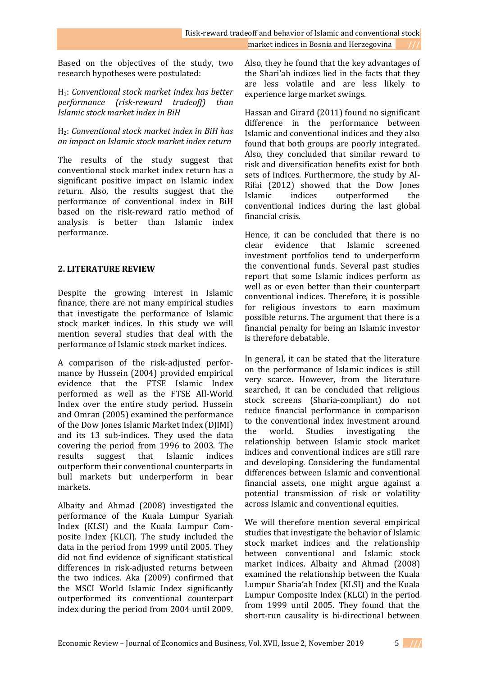Based on the objectives of the study, two research hypotheses were postulated:

H1: *Conventional stock market index has better performance (risk-reward tradeoff) than Islamic stock market index in BiH*

H2: *Conventional stock market index in BiH has an impact on Islamic stock market index return*

The results of the study suggest that conventional stock market index return has a significant positive impact on Islamic index return. Also, the results suggest that the performance of conventional index in BiH based on the risk-reward ratio method of analysis is better than Islamic index performance.

## **2. LITERATURE REVIEW**

Despite the growing interest in Islamic finance, there are not many empirical studies that investigate the performance of Islamic stock market indices. In this study we will mention several studies that deal with the performance of Islamic stock market indices.

A comparison of the risk-adjusted performance by Hussein (2004) provided empirical evidence that the FTSE Islamic Index performed as well as the FTSE All-World Index over the entire study period. Hussein and Omran (2005) examined the performance of the Dow Jones Islamic Market Index (DJIMI) and its 13 sub-indices. They used the data covering the period from 1996 to 2003. The results suggest that Islamic indices outperform their conventional counterparts in bull markets but underperform in bear markets.

Albaity and Ahmad (2008) investigated the performance of the Kuala Lumpur Syariah Index (KLSI) and the Kuala Lumpur Composite Index (KLCI). The study included the data in the period from 1999 until 2005. They did not find evidence of significant statistical differences in risk-adjusted returns between the two indices. Aka (2009) confirmed that the MSCI World Islamic Index significantly outperformed its conventional counterpart index during the period from 2004 until 2009.

Also, they he found that the key advantages of the Shari'ah indices lied in the facts that they are less volatile and are less likely to experience large market swings.

Hassan and Girard (2011) found no significant difference in the performance between Islamic and conventional indices and they also found that both groups are poorly integrated. Also, they concluded that similar reward to risk and diversification benefits exist for both sets of indices. Furthermore, the study by Al-Rifai (2012) showed that the Dow Jones Islamic indices outperformed the conventional indices during the last global financial crisis.

Hence, it can be concluded that there is no clear evidence that Islamic screened investment portfolios tend to underperform the conventional funds. Several past studies report that some Islamic indices perform as well as or even better than their counterpart conventional indices. Therefore, it is possible for religious investors to earn maximum possible returns. The argument that there is a financial penalty for being an Islamic investor is therefore debatable.

In general, it can be stated that the literature on the performance of Islamic indices is still very scarce. However, from the literature searched, it can be concluded that religious stock screens (Sharia-compliant) do not reduce financial performance in comparison to the conventional index investment around the world. Studies investigating the relationship between Islamic stock market indices and conventional indices are still rare and developing. Considering the fundamental differences between Islamic and conventional financial assets, one might argue against a potential transmission of risk or volatility across Islamic and conventional equities.

We will therefore mention several empirical studies that investigate the behavior of Islamic stock market indices and the relationship between conventional and Islamic stock market indices. Albaity and Ahmad (2008) examined the relationship between the Kuala Lumpur Sharia'ah Index (KLSI) and the Kuala Lumpur Composite Index (KLCI) in the period from 1999 until 2005. They found that the short-run causality is bi-directional between

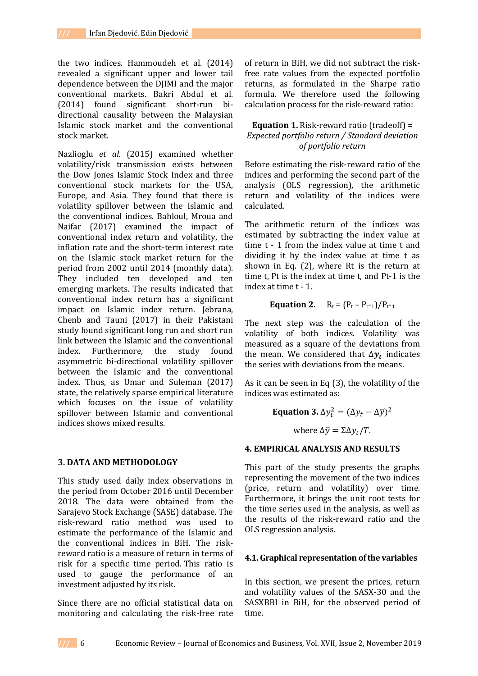the two indices. Hammoudeh et al. (2014) revealed a significant upper and lower tail dependence between the DJIMI and the major conventional markets. Bakri Abdul et al. (2014) found significant short-run bidirectional causality between the Malaysian Islamic stock market and the conventional stock market.

Nazlioglu *et al*. (2015) examined whether volatility/risk transmission exists between the Dow Jones Islamic Stock Index and three conventional stock markets for the USA, Europe, and Asia. They found that there is volatility spillover between the Islamic and the conventional indices. Bahloul, Mroua and Naifar (2017) examined the impact of conventional index return and volatility, the inflation rate and the short-term interest rate on the Islamic stock market return for the period from 2002 until 2014 (monthly data). They included ten developed and ten emerging markets. The results indicated that conventional index return has a significant impact on Islamic index return. Jebrana, Chenb and Tauni (2017) in their Pakistani study found significant long run and short run link between the Islamic and the conventional index. Furthermore, the study found asymmetric bi-directional volatility spillover between the Islamic and the conventional index. Thus, as Umar and Suleman (2017) state, the relatively sparse empirical literature which focuses on the issue of volatility spillover between Islamic and conventional indices shows mixed results.

## **3. DATA AND METHODOLOGY**

This study used daily index observations in the period from October 2016 until December 2018. The data were obtained from the Sarajevo Stock Exchange (SASE) database. The risk-reward ratio method was used to estimate the performance of the Islamic and the conventional indices in BiH. The riskreward ratio is a measure of return in terms of risk for a specific time period. This ratio is used to gauge the performance of an investment adjusted by its risk.

Since there are no official statistical data on monitoring and calculating the risk-free rate of return in BiH, we did not subtract the riskfree rate values from the expected portfolio returns, as formulated in the Sharpe ratio formula. We therefore used the following calculation process for the risk-reward ratio:

## **Equation 1.** Risk-reward ratio (tradeoff) = *Expected portfolio return / Standard deviation of portfolio return*

Before estimating the risk-reward ratio of the indices and performing the second part of the analysis (OLS regression), the arithmetic return and volatility of the indices were calculated.

The arithmetic return of the indices was estimated by subtracting the index value at time t - 1 from the index value at time t and dividing it by the index value at time t as shown in Eq. (2), where Rt is the return at time t, Pt is the index at time t, and Pt-1 is the index at time t - 1.

## **Equation 2.**  $R_t = (P_t - P_{t-1})/P_{t-1}$

The next step was the calculation of the volatility of both indices. Volatility was measured as a square of the deviations from the mean. We considered that  $\Delta y_t$  indicates the series with deviations from the means.

As it can be seen in Eq (3), the volatility of the indices was estimated as:

> **Equation 3.**  $\Delta y_t^2 = (\Delta y_t - \Delta \bar{y})^2$ where  $\Delta \bar{y} = \Sigma \Delta y_t / T$ .

## **4. EMPIRICAL ANALYSIS AND RESULTS**

This part of the study presents the graphs representing the movement of the two indices (price, return and volatility) over time. Furthermore, it brings the unit root tests for the time series used in the analysis, as well as the results of the risk-reward ratio and the OLS regression analysis.

## **4.1. Graphical representation of the variables**

In this section, we present the prices, return and volatility values of the SASX-30 and the SASXBBI in BiH, for the observed period of time.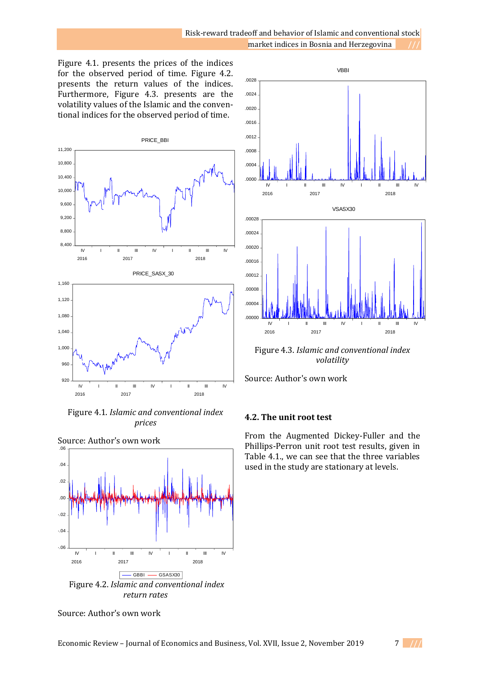Figure 4.1. presents the prices of the indices for the observed period of time. Figure 4.2. presents the return values of the indices. Furthermore, Figure 4.3. presents are the volatility values of the Islamic and the conventional indices for the observed period of time.



Figure 4.1. *Islamic and conventional index prices*



Source: Author's own work

Source: Author's own work



Figure 4.3. *Islamic and conventional index volatility*

Source: Author's own work

# **4.2. The unit root test**

From the Augmented Dickey-Fuller and the Phillips-Perron unit root test results, given in Table 4.1., we can see that the three variables used in the study are stationary at levels.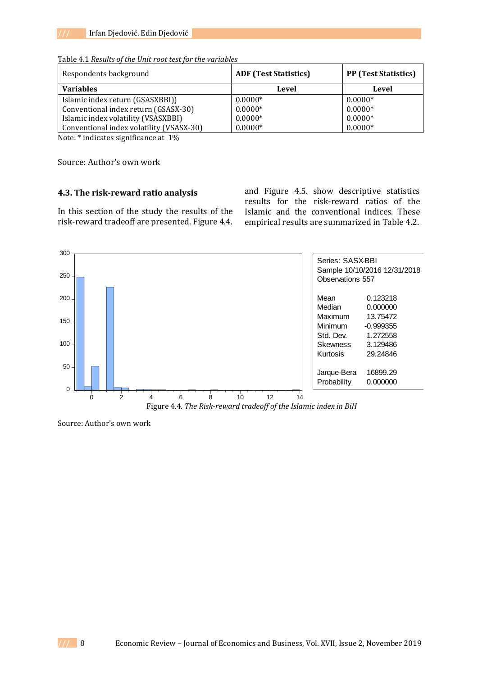| Respondents background                   | <b>ADF</b> (Test Statistics) | <b>PP</b> (Test Statistics) |  |
|------------------------------------------|------------------------------|-----------------------------|--|
| <b>Variables</b>                         | Level                        | Level                       |  |
| Islamic index return (GSASXBBI))         | $0.0000*$                    | $0.0000*$                   |  |
| Conventional index return (GSASX-30)     | $0.0000*$                    | $0.0000*$                   |  |
| Islamic index volatility (VSASXBBI)      | $0.0000*$                    | $0.0000*$                   |  |
| Conventional index volatility (VSASX-30) | $0.0000*$                    | $0.0000*$                   |  |

Table 4.1 *Results of the Unit root test for the variables*

Note: \* indicates significance at 1%

Source: Author's own work

### **4.3. The risk-reward ratio analysis**

In this section of the study the results of the risk-reward tradeoff are presented. Figure 4.4.

and Figure 4.5. show descriptive statistics results for the risk-reward ratios of the Islamic and the conventional indices. These empirical results are summarized in Table 4.2.



Source: Author's own work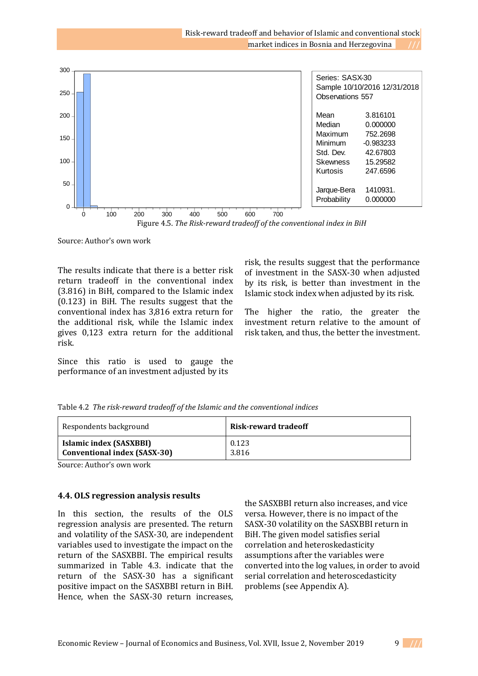| 300              |                                                                                                                                                                                                         |                 |                                                 |  |
|------------------|---------------------------------------------------------------------------------------------------------------------------------------------------------------------------------------------------------|-----------------|-------------------------------------------------|--|
|                  |                                                                                                                                                                                                         |                 | Series: SASX-30<br>Sample 10/10/2016 12/31/2018 |  |
| 250              |                                                                                                                                                                                                         |                 | <b>Observations 557</b>                         |  |
| 200              |                                                                                                                                                                                                         | Mean            | 3.816101                                        |  |
|                  |                                                                                                                                                                                                         | Median          | 0.000000                                        |  |
| $150 -$          |                                                                                                                                                                                                         | Maximum         | 752,2698                                        |  |
|                  |                                                                                                                                                                                                         | Minimum         | $-0.983233$                                     |  |
|                  |                                                                                                                                                                                                         | Std. Dev.       | 42.67803                                        |  |
| 100 <sub>1</sub> |                                                                                                                                                                                                         | <b>Skewness</b> | 15.29582                                        |  |
|                  |                                                                                                                                                                                                         | Kurtosis        | 247.6596                                        |  |
| 50               |                                                                                                                                                                                                         | Jarque-Bera     | 1410931.                                        |  |
|                  |                                                                                                                                                                                                         | Probability     | 0.000000                                        |  |
| 0                | 100<br>200<br>300<br>400<br>500<br>600<br>700                                                                                                                                                           |                 |                                                 |  |
|                  | $F_{\text{GUPO}}$ $\land$ $F_{\text{GUPO}}$ $\land$ $F_{\text{GUPO}}$ $\land$ $F_{\text{GUPO}}$ $\land$ $F_{\text{GUPO}}$ $\land$ $F_{\text{GUPO}}$ $\land$ $F_{\text{GUPO}}$ $\land$ $F_{\text{GUPO}}$ |                 |                                                 |  |
|                  |                                                                                                                                                                                                         |                 |                                                 |  |

Figure 4.5. *The Risk-reward tradeoff of the conventional index in BiH*

Source: Author's own work

The results indicate that there is a better risk return tradeoff in the conventional index (3.816) in BiH, compared to the Islamic index (0.123) in BiH. The results suggest that the conventional index has 3,816 extra return for the additional risk, while the Islamic index gives 0,123 extra return for the additional risk.

Since this ratio is used to gauge the performance of an investment adjusted by its

risk, the results suggest that the performance of investment in the SASX-30 when adjusted by its risk, is better than investment in the Islamic stock index when adjusted by its risk.

The higher the ratio, the greater the investment return relative to the amount of risk taken, and thus, the better the investment.

| Table 4.2 The risk-reward tradeoff of the Islamic and the conventional indices |  |
|--------------------------------------------------------------------------------|--|
|--------------------------------------------------------------------------------|--|

| Respondents background              | <b>Risk-reward tradeoff</b> |  |
|-------------------------------------|-----------------------------|--|
| Islamic index (SASXBBI)             | 0.123                       |  |
| <b>Conventional index (SASX-30)</b> | 3.816                       |  |

Source: Author's own work

### **4.4. OLS regression analysis results**

In this section, the results of the OLS regression analysis are presented. The return and volatility of the SASX-30, are independent variables used to investigate the impact on the return of the SASXBBI. The empirical results summarized in Table 4.3. indicate that the return of the SASX-30 has a significant positive impact on the SASXBBI return in BiH. Hence, when the SASX-30 return increases,

the SASXBBI return also increases, and vice versa. However, there is no impact of the SASX-30 volatility on the SASXBBI return in BiH. The given model satisfies serial correlation and heteroskedasticity assumptions after the variables were converted into the log values, in order to avoid serial correlation and heteroscedasticity problems (see Appendix A).

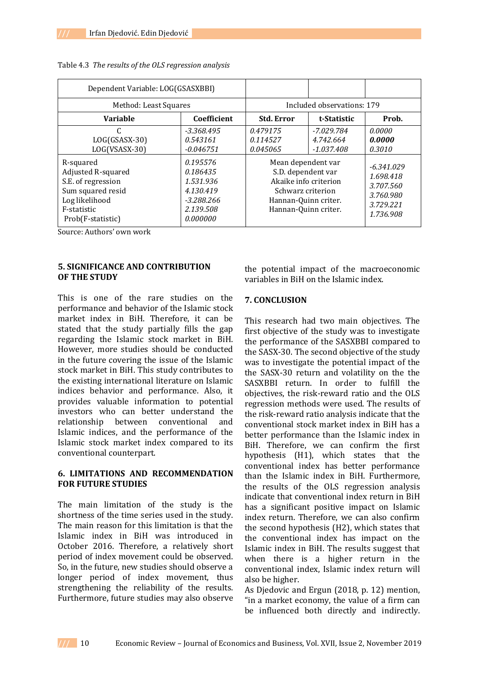| Dependent Variable: LOG(GSASXBBI)                                                                                                   |                                                                                                           |                                                                                                                                                    |                                           |                                                                                                |
|-------------------------------------------------------------------------------------------------------------------------------------|-----------------------------------------------------------------------------------------------------------|----------------------------------------------------------------------------------------------------------------------------------------------------|-------------------------------------------|------------------------------------------------------------------------------------------------|
| Method: Least Squares                                                                                                               |                                                                                                           | Included observations: 179                                                                                                                         |                                           |                                                                                                |
| <b>Variable</b>                                                                                                                     | Coefficient                                                                                               | <b>Std. Error</b>                                                                                                                                  | t-Statistic                               | Prob.                                                                                          |
| C<br>LOG(GSASX-30)<br>LOG(VSASX-30)<br>R-squared<br>Adjusted R-squared<br>S.E. of regression<br>Sum squared resid<br>Log likelihood | $-3.368.495$<br>0.543161<br>$-0.046751$<br>0.195576<br>0.186435<br>1.531.936<br>4.130.419<br>$-3.288.266$ | 0.479175<br>0.114527<br>0.045065<br>Mean dependent var<br>S.D. dependent var<br>Akaike info criterion<br>Schwarz criterion<br>Hannan-Quinn criter. | $-7.029.784$<br>4.742.664<br>$-1.037.408$ | 0.0000<br>0.0000<br>0.3010<br>$-6.341.029$<br>1.698.418<br>3.707.560<br>3.760.980<br>3.729.221 |
| F-statistic<br>Prob(F-statistic)                                                                                                    | 2.139.508<br>0.000000                                                                                     | Hannan-Quinn criter.                                                                                                                               |                                           | 1.736.908                                                                                      |

#### Table 4.3 *The results of the OLS regression analysis*

Source: Authors' own work

## **5. SIGNIFICANCE AND CONTRIBUTION OF THE STUDY**

This is one of the rare studies on the performance and behavior of the Islamic stock market index in BiH. Therefore, it can be stated that the study partially fills the gap regarding the Islamic stock market in BiH. However, more studies should be conducted in the future covering the issue of the Islamic stock market in BiH. This study contributes to the existing international literature on Islamic indices behavior and performance. Also, it provides valuable information to potential investors who can better understand the relationship between conventional and Islamic indices, and the performance of the Islamic stock market index compared to its conventional counterpart.

## **6. LIMITATIONS AND RECOMMENDATION FOR FUTURE STUDIES**

The main limitation of the study is the shortness of the time series used in the study. The main reason for this limitation is that the Islamic index in BiH was introduced in October 2016. Therefore, a relatively short period of index movement could be observed. So, in the future, new studies should observe a longer period of index movement, thus strengthening the reliability of the results. Furthermore, future studies may also observe

the potential impact of the macroeconomic variables in BiH on the Islamic index.

## **7. CONCLUSION**

This research had two main objectives. The first objective of the study was to investigate the performance of the SASXBBI compared to the SASX-30. The second objective of the study was to investigate the potential impact of the the SASX-30 return and volatility on the the SASXBBI return. In order to fulfill the objectives, the risk-reward ratio and the OLS regression methods were used. The results of the risk-reward ratio analysis indicate that the conventional stock market index in BiH has a better performance than the Islamic index in BiH. Therefore, we can confirm the first hypothesis (H1), which states that the conventional index has better performance than the Islamic index in BiH. Furthermore, the results of the OLS regression analysis indicate that conventional index return in BiH has a significant positive impact on Islamic index return. Therefore, we can also confirm the second hypothesis (H2), which states that the conventional index has impact on the Islamic index in BiH. The results suggest that when there is a higher return in the conventional index, Islamic index return will also be higher.

As Djedovic and Ergun (2018, p. 12) mention, "in a market economy, the value of a firm can be influenced both directly and indirectly.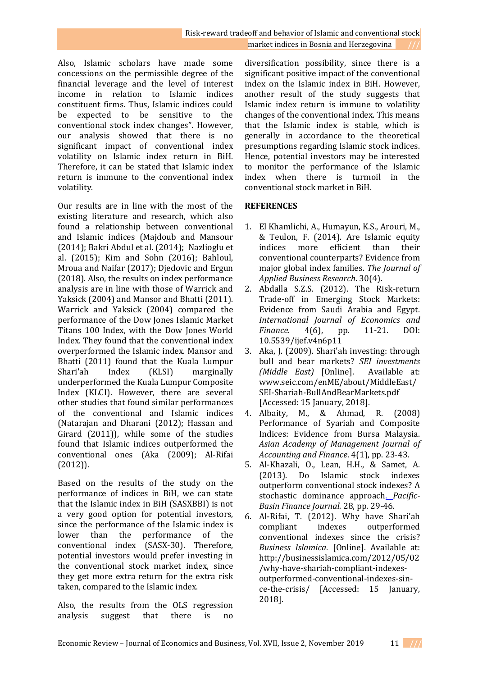Also, Islamic scholars have made some concessions on the permissible degree of the financial leverage and the level of interest income in relation to Islamic indices constituent firms. Thus, Islamic indices could be expected to be sensitive to the conventional stock index changes". However, our analysis showed that there is no significant impact of conventional index volatility on Islamic index return in BiH. Therefore, it can be stated that Islamic index return is immune to the conventional index volatility.

Our results are in line with the most of the existing literature and research, which also found a relationship between conventional and Islamic indices (Majdoub and Mansour (2014); Bakri Abdul et al. (2014); Nazlioglu et al. (2015); Kim and Sohn (2016); Bahloul, Mroua and Naifar (2017); Djedovic and Ergun (2018). Also, the results on index performance analysis are in line with those of Warrick and Yaksick (2004) and Mansor and Bhatti (2011). Warrick and Yaksick (2004) compared the performance of the Dow Jones Islamic Market Titans 100 Index, with the Dow Jones World Index. They found that the conventional index overperformed the Islamic index. Mansor and Bhatti (2011) found that the Kuala Lumpur Shari'ah Index (KLSI) marginally underperformed the Kuala Lumpur Composite Index (KLCI). However, there are several other studies that found similar performances of the conventional and Islamic indices (Natarajan and Dharani (2012); Hassan and Girard (2011)), while some of the studies found that Islamic indices outperformed the conventional ones (Aka (2009); Al-Rifai (2012)).

Based on the results of the study on the performance of indices in BiH, we can state that the Islamic index in BiH (SASXBBI) is not a very good option for potential investors, since the performance of the Islamic index is lower than the performance of the conventional index (SASX-30). Therefore, potential investors would prefer investing in the conventional stock market index, since they get more extra return for the extra risk taken, compared to the Islamic index.

Also, the results from the OLS regression analysis suggest that there is no

diversification possibility, since there is a significant positive impact of the conventional index on the Islamic index in BiH. However, another result of the study suggests that Islamic index return is immune to volatility changes of the conventional index. This means that the Islamic index is stable, which is generally in accordance to the theoretical presumptions regarding Islamic stock indices. Hence, potential investors may be interested to monitor the performance of the Islamic index when there is turmoil in the conventional stock market in BiH.

## **REFERENCES**

- 1. El Khamlichi, A., Humayun, K.S., Arouri, M., & Teulon, F. (2014). Are Islamic equity indices more efficient than their conventional counterparts? Evidence from major global index families. *The Journal of Applied Business Research*. 30(4).
- 2. Abdalla S.Z.S. (2012). The Risk-return Trade-off in Emerging Stock Markets: Evidence from Saudi Arabia and Egypt. *International Journal of Economics and Finance.* 4(6), pp. 11-21. DOI: 10.5539/ijef.v4n6p11
- 3. Aka, J. (2009). Shari'ah investing: through bull and bear markets? *SEI investments (Middle East)* [Online]. Available at: www.seic.com/enME/about/MiddleEast/ SEI-Shariah-BullAndBearMarkets.pdf [Accessed: 15 January, 2018].
- 4. Albaity, M., & Ahmad, R. (2008) Performance of Syariah and Composite Indices: Evidence from Bursa Malaysia. *Asian Academy of Management Journal of Accounting and Finance*. 4(1), pp. 23-43.
- 5. Al-Khazali, O., Lean, H.H., & Samet, A. (2013). Do Islamic stock indexes outperform conventional stock indexes? A stochastic dominance approach. *Pacific-Basin Finance Journal.* 28, pp. 29-46.
- 6. Al-Rifai, T. (2012). Why have Shari'ah compliant indexes outperformed conventional indexes since the crisis? *Business Islamica*. [Online]. Available at: http://businessislamica.com/2012/05/02 /why-have-shariah-compliant-indexesoutperformed-conventional-indexes-since-the-crisis/ [Accessed: 15 January, 2018].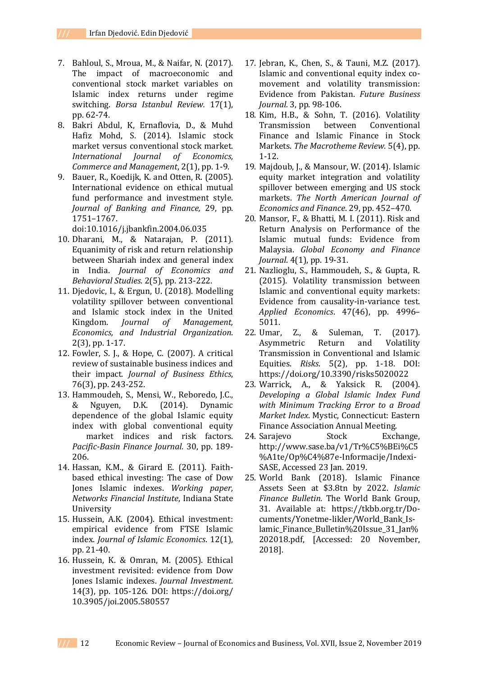- 7. Bahloul, S., Mroua, M., & Naifar, N. (2017). The impact of macroeconomic and conventional stock market variables on Islamic index returns under regime switching. *Borsa Istanbul Review.* 17(1), pp. 62-74.
- 8. Bakri Abdul, K, Ernaflovia, D., & Muhd Hafiz Mohd, S. (2014). Islamic stock market versus conventional stock market. *International Journal of Economics, Commerce and Management*, 2(1), pp. 1-9.
- 9. Bauer, R., Koedijk, K. and Otten, R. (2005). International evidence on ethical mutual fund performance and investment style. *Journal of Banking and Finance,* 29, pp. 1751–1767.

doi:10.1016/j.jbankfin.2004.06.035

- 10. Dharani, M., & Natarajan, P. (2011). [Equanimity of risk and return relationship](javascript:void(0))  [between Shariah index and general index](javascript:void(0))  [in India.](javascript:void(0)) *Journal of Economics and Behavioral Studies*. 2(5), pp. 213-222.
- 11. Djedovic, I., & Ergun, U. (2018). Modelling volatility spillover between conventional and Islamic stock index in the United Kingdom. *Journal of Management, Economics, and Industrial Organization*. 2(3), pp. 1-17.
- 12. Fowler, S. J., & Hope, C. (2007). A critical review of sustainable business indices and their impact. *Journal of Business Ethics*, 76(3), pp. 243-252.
- 13. Hammoudeh, S., Mensi, W., Reboredo, J.C., & Nguyen, D.K. (2014). Dynamic dependence of the global Islamic equity index with global conventional equity market indices and risk factors. *Pacific-Basin Finance Journal.* 30, pp. 189- 206.
- 14. Hassan, K.M., & Girard E. (2011). Faithbased ethical investing: The case of Dow Jones Islamic indexes. *Working paper, Networks Financial Institute*, Indiana State University
- 15. Hussein, A.K. (2004). Ethical investment: empirical evidence from FTSE Islamic index. *Journal of Islamic Economics*. 12(1), pp. 21-40.
- 16. Hussein, K. & Omran, M. (2005). Ethical investment revisited: evidence from Dow Jones Islamic indexes. *Journal Investment*. 14(3), pp. 105-126. DOI: https://doi.org/ 10.3905/joi.2005.580557
- 17. Jebran, K., Chen, S., & Tauni, M.Z. (2017). Islamic and conventional equity index comovement and volatility transmission: Evidence from Pakistan. *Future Business Journal.* 3, pp. 98-106.
- 18. Kim, H.B., & Sohn, T. (2016). Volatility Transmission between Conventional Finance and Islamic Finance in Stock Markets. *The Macrotheme Review.* 5(4), pp. 1-12.
- 19. Majdoub, J., & Mansour, W. (2014). Islamic equity market integration and volatility spillover between emerging and US stock markets. *The North American Journal of Economics and Finance*. 29, pp. 452–470.
- 20. Mansor, F., & Bhatti, M. I. (2011). Risk and Return Analysis on Performance of the Islamic mutual funds: Evidence from Malaysia. *Global Economy and Finance Journal*. 4(1), pp. 19-31.
- 21. Nazlioglu, S., Hammoudeh, S., & Gupta, R. (2015). Volatility transmission between Islamic and conventional equity markets: Evidence from causality-in-variance test. *Applied Economics*. 47(46), pp. 4996– 5011.
- 22. Umar, Z., & Suleman, T. (2017). [Asymmetric Return and Volatility](javascript:void(0))  [Transmission in Conventional and Islamic](javascript:void(0))  [Equities.](javascript:void(0)) *Risks*. 5(2), pp. 1-18. DOI: https://doi.org/10.3390/risks5020022
- 23. Warrick, A., & Yaksick R. (2004). *Developing a Global Islamic Index Fund with Minimum Tracking Error to a Broad Market Index*. Mystic, Connecticut: Eastern Finance Association Annual Meeting.
- 24. Sarajevo Stock Exchange, http://www.sase.ba/v1/Tr%C5%BEi%C5 %A1te/Op%C4%87e-Informacije/Indexi-SASE, Accessed 23 Jan. 2019.
- 25. World Bank (2018). Islamic Finance Assets Seen at \$3.8tn by 2022. *Islamic Finance Bulletin.* The World Bank Group, 31. Available at: https://tkbb.org.tr/Documents/Yonetme-likler/World\_Bank\_Islamic Finance Bulletin%20Issue 31 Jan% 202018.pdf, [Accessed: 20 November, 2018].

**///** 12 Economic Review – Journal of Economics and Business, Vol. XVII, Issue 2, November 2019